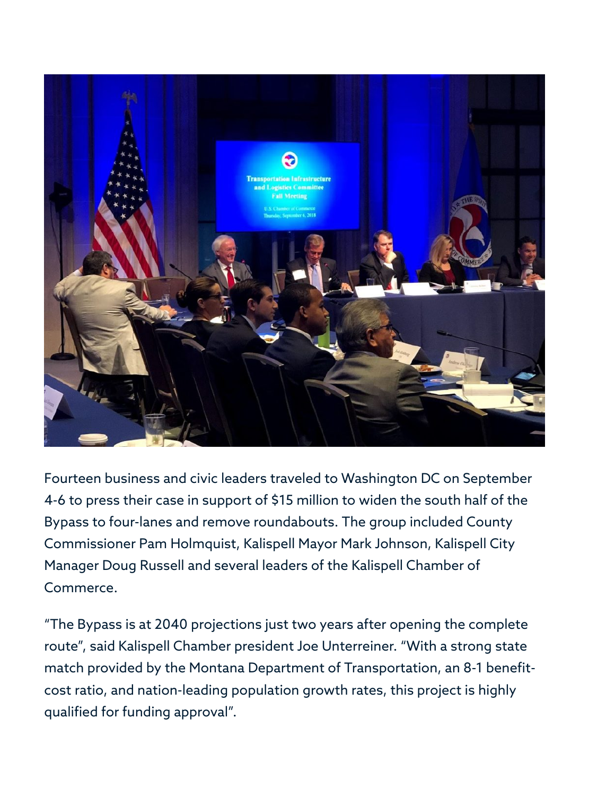

Fourteen business and civic leaders traveled to Washington DC on September 4-6 to press their case in support of \$15 million to widen the south half of the Bypass to four-lanes and remove roundabouts. The group included County Commissioner Pam Holmquist, Kalispell Mayor Mark Johnson, Kalispell City Manager Doug Russell and several leaders of the Kalispell Chamber of Commerce.

"The Bypass is at 2040 projections just two years after opening the complete route", said Kalispell Chamber president Joe Unterreiner. "With a strong state match provided by the Montana Department of Transportation, an 8-1 benefitcost ratio, and nation-leading population growth rates, this project is highly qualified for funding approval".